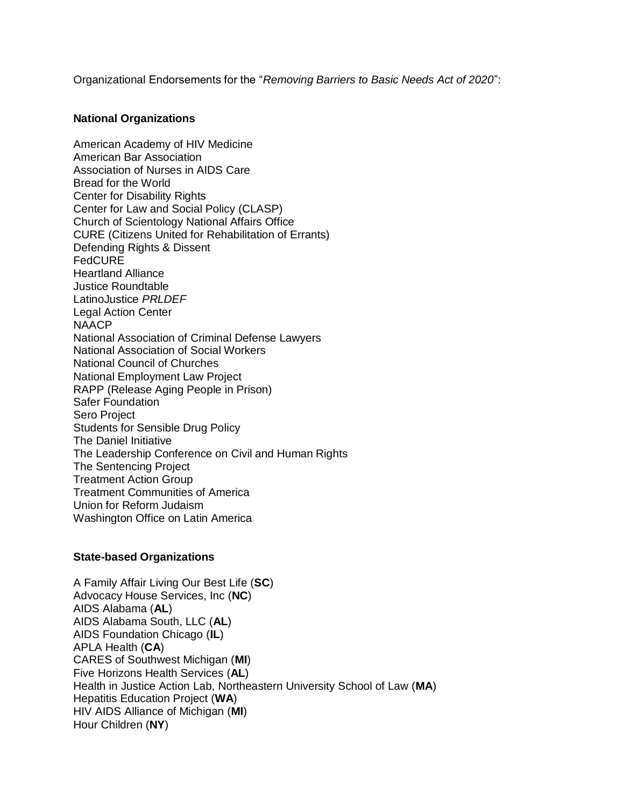Organizational Endorsements for the "*Removing Barriers to Basic Needs Act of 2020*":

## **National Organizations**

American Academy of HIV Medicine American Bar Association Association of Nurses in AIDS Care Bread for the World Center for Disability Rights Center for Law and Social Policy (CLASP) Church of Scientology National Affairs Office CURE (Citizens United for Rehabilitation of Errants) Defending Rights & Dissent FedCURE Heartland Alliance Justice Roundtable LatinoJustice *PRLDEF* Legal Action Center **NAACP** National Association of Criminal Defense Lawyers National Association of Social Workers National Council of Churches National Employment Law Project RAPP (Release Aging People in Prison) Safer Foundation Sero Project Students for Sensible Drug Policy The Daniel Initiative The Leadership Conference on Civil and Human Rights The Sentencing Project Treatment Action Group Treatment Communities of America Union for Reform Judaism Washington Office on Latin America

## **State-based Organizations**

A Family Affair Living Our Best Life (**SC**) Advocacy House Services, Inc (**NC**) AIDS Alabama (**AL**) AIDS Alabama South, LLC (**AL**) AIDS Foundation Chicago (**IL**) APLA Health (**CA**) CARES of Southwest Michigan (**MI**) Five Horizons Health Services (**AL**) Health in Justice Action Lab, Northeastern University School of Law (**MA**) Hepatitis Education Project (**WA**) HIV AIDS Alliance of Michigan (**MI**) Hour Children (**NY**)